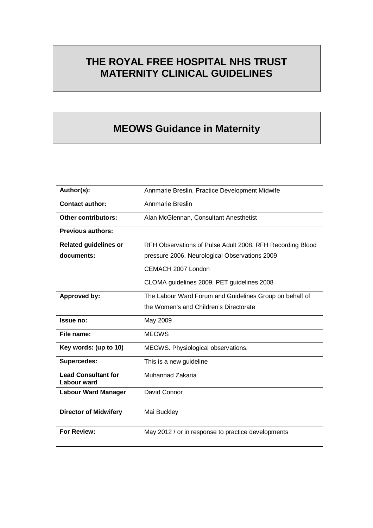# **THE ROYAL FREE HOSPITAL NHS TRUST MATERNITY CLINICAL GUIDELINES**

# **MEOWS Guidance in Maternity**

| Author(s):                                       | Annmarie Breslin, Practice Development Midwife            |
|--------------------------------------------------|-----------------------------------------------------------|
| <b>Contact author:</b>                           | Annmarie Breslin                                          |
| <b>Other contributors:</b>                       | Alan McGlennan, Consultant Anesthetist                    |
| <b>Previous authors:</b>                         |                                                           |
| <b>Related guidelines or</b>                     | RFH Observations of Pulse Adult 2008. RFH Recording Blood |
| documents:                                       | pressure 2006. Neurological Observations 2009             |
|                                                  | CEMACH 2007 London                                        |
|                                                  | CLOMA guidelines 2009. PET guidelines 2008                |
| Approved by:                                     | The Labour Ward Forum and Guidelines Group on behalf of   |
|                                                  | the Women's and Children's Directorate                    |
| Issue no:                                        | May 2009                                                  |
| File name:                                       | <b>MEOWS</b>                                              |
| Key words: (up to 10)                            | MEOWS. Physiological observations.                        |
| <b>Supercedes:</b>                               | This is a new guideline                                   |
| <b>Lead Consultant for</b><br><b>Labour ward</b> | Muhannad Zakaria                                          |
| <b>Labour Ward Manager</b>                       | David Connor                                              |
| <b>Director of Midwifery</b>                     | Mai Buckley                                               |
| For Review:                                      | May 2012 / or in response to practice developments        |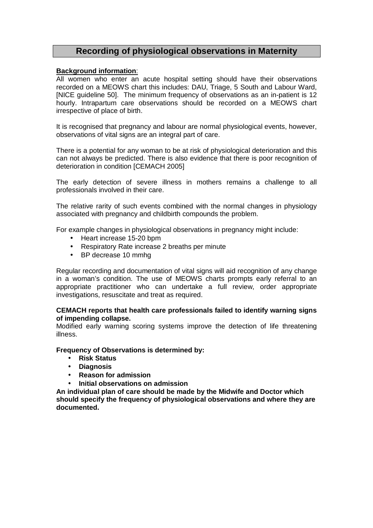## **Recording of physiological observations in Maternity**

#### **Background information**:

All women who enter an acute hospital setting should have their observations recorded on a MEOWS chart this includes: DAU, Triage, 5 South and Labour Ward, [NICE guideline 50]. The minimum frequency of observations as an in-patient is 12 hourly. Intrapartum care observations should be recorded on a MEOWS chart irrespective of place of birth.

It is recognised that pregnancy and labour are normal physiological events, however, observations of vital signs are an integral part of care.

There is a potential for any woman to be at risk of physiological deterioration and this can not always be predicted. There is also evidence that there is poor recognition of deterioration in condition [CEMACH 2005]

The early detection of severe illness in mothers remains a challenge to all professionals involved in their care.

The relative rarity of such events combined with the normal changes in physiology associated with pregnancy and childbirth compounds the problem.

For example changes in physiological observations in pregnancy might include:

- Heart increase 15-20 bpm
- Respiratory Rate increase 2 breaths per minute
- BP decrease 10 mmhg

Regular recording and documentation of vital signs will aid recognition of any change in a woman's condition. The use of MEOWS charts prompts early referral to an appropriate practitioner who can undertake a full review, order appropriate investigations, resuscitate and treat as required.

#### **CEMACH reports that health care professionals failed to identify warning signs of impending collapse.**

Modified early warning scoring systems improve the detection of life threatening illness.

#### **Frequency of Observations is determined by:**

- **Risk Status**
- **Diagnosis**
- **Reason for admission**
- **Initial observations on admission**

**An individual plan of care should be made by the Midwife and Doctor which should specify the frequency of physiological observations and where they are documented.**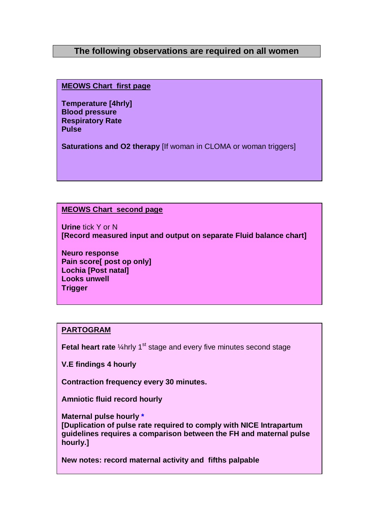## **The following observations are required on all women**

**MEOWS Chart first page** 

**Temperature [4hrly] Blood pressure Respiratory Rate Pulse** 

**Saturations and O2 therapy** [If woman in CLOMA or woman triggers]

#### **MEOWS Chart second page**

**Urine** tick Y or N **[Record measured input and output on separate Fluid balance chart]** 

**Neuro response Pain score[ post op only] Lochia [Post natal] Looks unwell Trigger**

#### **PARTOGRAM**

**Fetal heart rate** 1/4 hrly 1<sup>st</sup> stage and every five minutes second stage

**V.E findings 4 hourly**

**Contraction frequency every 30 minutes.** 

**Amniotic fluid record hourly** 

**Maternal pulse hourly \*** 

**[Duplication of pulse rate required to comply with NICE Intrapartum guidelines requires a comparison between the FH and maternal pulse hourly.]** 

**New notes: record maternal activity and fifths palpable**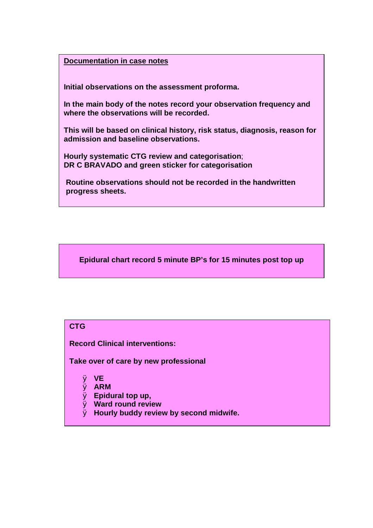#### **Documentation in case notes**

**Initial observations on the assessment proforma.** 

**In the main body of the notes record your observation frequency and where the observations will be recorded.** 

**This will be based on clinical history, risk status, diagnosis, reason for admission and baseline observations.** 

**Hourly systematic CTG review and categorisation**; **DR C BRAVADO and green sticker for categorisation** 

**Routine observations should not be recorded in the handwritten progress sheets.**

**Epidural chart record 5 minute BP's for 15 minutes post top up** 

# **CTG**

**Record Clinical interventions:** 

**Take over of care by new professional** 

- Ø **VE**
- Ø **ARM**
- Ø **Epidural top up,**
- Ø **Ward round review**
- Ø **Hourly buddy review by second midwife.**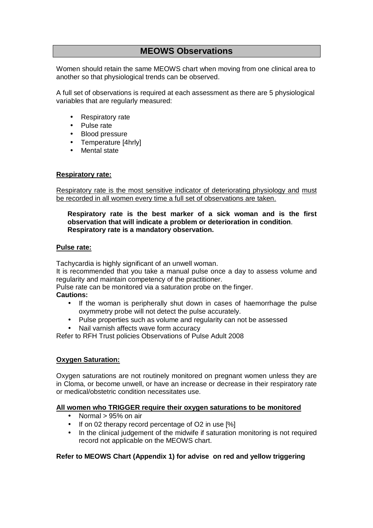# **MEOWS Observations**

Women should retain the same MEOWS chart when moving from one clinical area to another so that physiological trends can be observed.

A full set of observations is required at each assessment as there are 5 physiological variables that are regularly measured:

- Respiratory rate
- Pulse rate
- Blood pressure
- Temperature [4hrly]
- **Mental state**

#### **Respiratory rate:**

Respiratory rate is the most sensitive indicator of deteriorating physiology and must be recorded in all women every time a full set of observations are taken.

#### **Respiratory rate is the best marker of a sick woman and is the first observation that will indicate a problem or deterioration in condition**. **Respiratory rate is a mandatory observation.**

#### **Pulse rate:**

Tachycardia is highly significant of an unwell woman.

It is recommended that you take a manual pulse once a day to assess volume and regularity and maintain competency of the practitioner.

Pulse rate can be monitored via a saturation probe on the finger.

#### **Cautions:**

- If the woman is peripherally shut down in cases of haemorrhage the pulse oxymmetry probe will not detect the pulse accurately.
- Pulse properties such as volume and regularity can not be assessed
- Nail varnish affects wave form accuracy

Refer to RFH Trust policies Observations of Pulse Adult 2008

#### **Oxygen Saturation:**

Oxygen saturations are not routinely monitored on pregnant women unless they are in Cloma, or become unwell, or have an increase or decrease in their respiratory rate or medical/obstetric condition necessitates use.

#### **All women who TRIGGER require their oxygen saturations to be monitored**

- Normal  $> 95\%$  on air
- If on 02 therapy record percentage of O2 in use [%]
- In the clinical judgement of the midwife if saturation monitoring is not required record not applicable on the MEOWS chart.

#### **Refer to MEOWS Chart (Appendix 1) for advise on red and yellow triggering**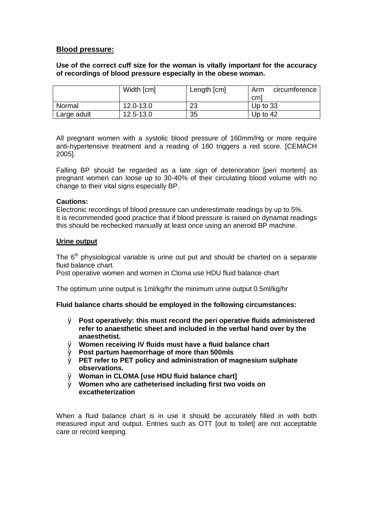#### **Blood pressure:**

**Use of the correct cuff size for the woman is vitally important for the accuracy of recordings of blood pressure especially in the obese woman.** 

|             | Width [cm] | Length [cm] | circumference<br>Arm |
|-------------|------------|-------------|----------------------|
|             |            |             | cml                  |
| Normal      | 12.0-13.0  | 23          | Up to $33$           |
| Large adult | 12.5-13.0  | 35          | Up to $42$           |

All pregnant women with a systolic blood pressure of 160mm/Hg or more require anti-hypertensive treatment and a reading of 160 triggers a red score. [CEMACH 2005].

Falling BP should be regarded as a late sign of deterioration [peri mortem] as pregnant women can loose up to 30-40% of their circulating blood volume with no change to their vital signs especially BP.

#### **Cautions:**

Electronic recordings of blood pressure can underestimate readings by up to 5%. It is recommended good practice that if blood pressure is raised on dynamat readings this should be rechecked manually at least once using an aneroid BP machine.

#### **Urine output**

The  $6<sup>th</sup>$  physiological variable is urine out put and should be charted on a separate fluid balance chart.

Post operative women and women in Cloma use HDU fluid balance chart

The optimum urine output is 1ml/kg/hr the minimum urine output 0.5ml/kg/hr

#### **Fluid balance charts should be employed in the following circumstances:**

- Ø **Post operatively: this must record the peri operative fluids administered refer to anaesthetic sheet and included in the verbal hand over by the anaesthetist.**
- Ø **Women receiving IV fluids must have a fluid balance chart**
- Ø **Post partum haemorrhage of more than 500mls**
- Ø **PET refer to PET policy and administration of magnesium sulphate observations.**
- Ø **Woman in CLOMA [use HDU fluid balance chart]**
- Ø **Women who are catheterised including first two voids on excatheterization**

When a fluid balance chart is in use it should be accurately filled in with both measured input and output. Entries such as OTT [out to toilet] are not acceptable care or record keeping.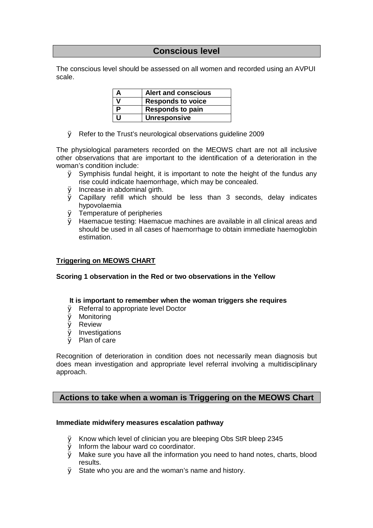### **Conscious level**

The conscious level should be assessed on all women and recorded using an AVPUI scale.

| А | <b>Alert and conscious</b> |
|---|----------------------------|
|   | <b>Responds to voice</b>   |
| P | <b>Responds to pain</b>    |
| U | <b>Unresponsive</b>        |

Ø Refer to the Trust's neurological observations guideline 2009

The physiological parameters recorded on the MEOWS chart are not all inclusive other observations that are important to the identification of a deterioration in the woman's condition include:

- $\emptyset$  Symphisis fundal height, it is important to note the height of the fundus any rise could indicate haemorrhage, which may be concealed.
- Ø Increase in abdominal girth.
- Ø Capillary refill which should be less than 3 seconds, delay indicates hypovolaemia
- Ø Temperature of peripheries
- Ø Haemacue testing: Haemacue machines are available in all clinical areas and should be used in all cases of haemorrhage to obtain immediate haemoglobin estimation.

#### **Triggering on MEOWS CHART**

#### **Scoring 1 observation in the Red or two observations in the Yellow**

#### **It is important to remember when the woman triggers she requires**

- Ø Referral to appropriate level Doctor
- Ø Monitoring
- Ø Review
- Ø Investigations
- Ø Plan of care

Recognition of deterioration in condition does not necessarily mean diagnosis but does mean investigation and appropriate level referral involving a multidisciplinary approach.

#### **Actions to take when a woman is Triggering on the MEOWS Chart**

#### **Immediate midwifery measures escalation pathway**

- Ø Know which level of clinician you are bleeping Obs StR bleep 2345
- Ø Inform the labour ward co coordinator.
- Ø Make sure you have all the information you need to hand notes, charts, blood results.
- Ø State who you are and the woman's name and history.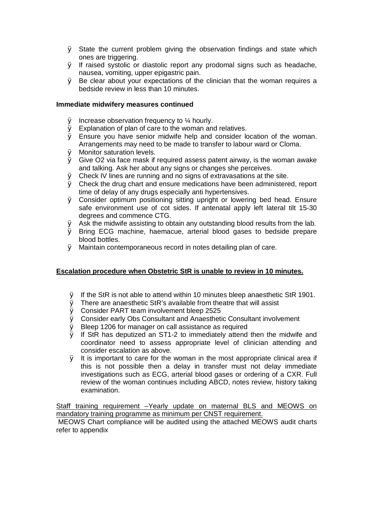- Ø State the current problem giving the observation findings and state which ones are triggering.
- Ø If raised systolic or diastolic report any prodomal signs such as headache, nausea, vomiting, upper epigastric pain.
- Ø Be clear about your expectations of the clinician that the woman requires a bedside review in less than 10 minutes.

#### **Immediate midwifery measures continued**

- $\emptyset$  Increase observation frequency to  $\frac{1}{4}$  hourly.
- Ø Explanation of plan of care to the woman and relatives.
- Ø Ensure you have senior midwife help and consider location of the woman. Arrangements may need to be made to transfer to labour ward or Cloma.
- Ø Monitor saturation levels.
- Ø Give O2 via face mask if required assess patent airway, is the woman awake and talking. Ask her about any signs or changes she perceives.
- Ø Check IV lines are running and no signs of extravasations at the site.
- Ø Check the drug chart and ensure medications have been administered, report time of delay of any drugs especially anti hypertensives.
- Ø Consider optimum positioning sitting upright or lowering bed head. Ensure safe environment use of cot sides. If antenatal apply left lateral tilt 15-30 degrees and commence CTG.
- $\emptyset$  Ask the midwife assisting to obtain any outstanding blood results from the lab.
- Ø Bring ECG machine, haemacue, arterial blood gases to bedside prepare blood bottles.
- Ø Maintain contemporaneous record in notes detailing plan of care.

#### **Escalation procedure when Obstetric StR is unable to review in 10 minutes.**

- Ø If the StR is not able to attend within 10 minutes bleep anaesthetic StR 1901.
- Ø There are anaesthetic StR's available from theatre that will assist
- Ø Consider PART team involvement bleep 2525
- Ø Consider early Obs Consultant and Anaesthetic Consultant involvement
- Ø Bleep 1206 for manager on call assistance as required
- Ø If StR has deputized an ST1-2 to immediately attend then the midwife and coordinator need to assess appropriate level of clinician attending and consider escalation as above.
- Ø It is important to care for the woman in the most appropriate clinical area if this is not possible then a delay in transfer must not delay immediate investigations such as ECG, arterial blood gases or ordering of a CXR. Full review of the woman continues including ABCD, notes review, history taking examination.

Staff training requirement –Yearly update on maternal BLS and MEOWS on mandatory training programme as minimum per CNST requirement.

MEOWS Chart compliance will be audited using the attached MEOWS audit charts refer to appendix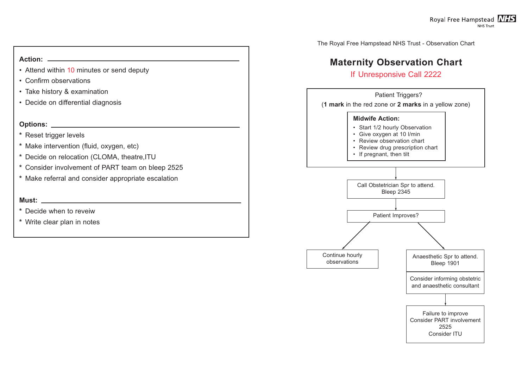The Royal Free Hampstead NHS Trust - Observation Chart

# **Maternity Observation Chart**

# If Unresponsive Call 2222

- Attend within 10 minutes or send deputy
- Confirm observations
- Take history & examination
- Decide on differential diagnosis

# **Action:**

# **Options:**



- **\*** Reset trigger levels
- **\*** Make intervention (fluid, oxygen, etc)
- **\*** Decide on relocation (CLOMA, theatre,ITU
- **\*** Consider involvement of PART team on bleep 2525
- **\*** Make referral and consider appropriate escalation

# **Must:**

- **\*** Decide when to reveiw
- **\*** Write clear plan in notes

Royal Free Hampstead NHS **NHS Trust**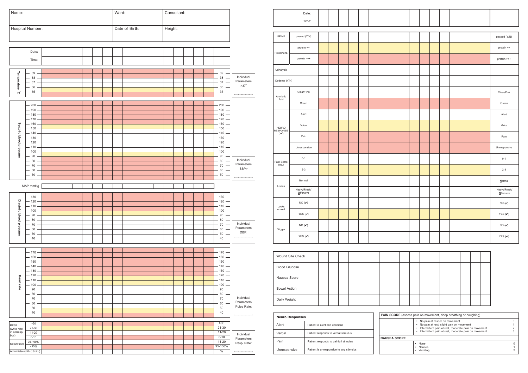

|                  | Date:                            |  |  |  |  |  |  |  |  |                                 |
|------------------|----------------------------------|--|--|--|--|--|--|--|--|---------------------------------|
|                  | Time:                            |  |  |  |  |  |  |  |  |                                 |
|                  |                                  |  |  |  |  |  |  |  |  |                                 |
| ٧E               | passed (Y/N)                     |  |  |  |  |  |  |  |  | passed (Y/N)                    |
| าuria            | protein ++                       |  |  |  |  |  |  |  |  | protein ++                      |
|                  | protein $>++$                    |  |  |  |  |  |  |  |  | protein >++                     |
| ysis             |                                  |  |  |  |  |  |  |  |  |                                 |
| na (Y/N)         |                                  |  |  |  |  |  |  |  |  |                                 |
| otic<br>d        | Clear/Pink                       |  |  |  |  |  |  |  |  | Clear/Pink                      |
|                  | Green                            |  |  |  |  |  |  |  |  | Green                           |
|                  | Alert                            |  |  |  |  |  |  |  |  | Alert                           |
| RO<br>)NSE<br>') | Voice                            |  |  |  |  |  |  |  |  | Voice                           |
|                  | Pain                             |  |  |  |  |  |  |  |  | Pain                            |
|                  | Unresponsive                     |  |  |  |  |  |  |  |  | Unresponsive                    |
| core<br>.)       | $0 - 1$                          |  |  |  |  |  |  |  |  | $0 - 1$                         |
|                  | $2 - 3$                          |  |  |  |  |  |  |  |  | $2 - 3$                         |
| ia               | Normal                           |  |  |  |  |  |  |  |  | Normal                          |
|                  | Heavy/Fresh/<br>Offensive        |  |  |  |  |  |  |  |  | Heavy/Fresh/<br>Offensive       |
| ks<br>ell        | $NO(\nu)$                        |  |  |  |  |  |  |  |  | NO $(\boldsymbol{\mathcal{V}})$ |
|                  | YES $(\checkmark)$               |  |  |  |  |  |  |  |  | YES $(\boldsymbol{\mathsf{v}})$ |
| jer              | NO $(\boldsymbol{\mathcal{V}})$  |  |  |  |  |  |  |  |  | NO $(\boldsymbol{\mathcal{V}})$ |
|                  | YES $(\boldsymbol{\mathcal{V}})$ |  |  |  |  |  |  |  |  | YES $(\boldsymbol{\mathsf{v}})$ |
|                  |                                  |  |  |  |  |  |  |  |  |                                 |
|                  | und Site Check                   |  |  |  |  |  |  |  |  |                                 |
|                  | od Glucose                       |  |  |  |  |  |  |  |  |                                 |
|                  | isea Score                       |  |  |  |  |  |  |  |  |                                 |
| vel Action       |                                  |  |  |  |  |  |  |  |  |                                 |
| y Weight         |                                  |  |  |  |  |  |  |  |  |                                 |

| <b>Neuro Responses</b> |                                         |  |  |  |  |  |  |  |
|------------------------|-----------------------------------------|--|--|--|--|--|--|--|
| Alert                  | Patient is alert and concious           |  |  |  |  |  |  |  |
| Verbal                 | Patient responds to verbal stimulus     |  |  |  |  |  |  |  |
| Pain                   | Patient responds to painfull stimulus   |  |  |  |  |  |  |  |
| Unresponsive           | Patient is unresponsive to any stimulus |  |  |  |  |  |  |  |

| <b>PAIN SCORE</b> (assess pain on movement, deep breathing or coughing) |                                                                                                                                                                                                                        |  |  |  |  |  |  |  |
|-------------------------------------------------------------------------|------------------------------------------------------------------------------------------------------------------------------------------------------------------------------------------------------------------------|--|--|--|--|--|--|--|
|                                                                         | • No pain at rest or on movement<br>No pain at rest, slight pain on movement<br>Intermittent pain at rest, moderate pain on movement<br>$\bullet$<br>Intermittent pain at rest, moderate pain on movement<br>$\bullet$ |  |  |  |  |  |  |  |
| <b>NAUSEA SCORE</b>                                                     |                                                                                                                                                                                                                        |  |  |  |  |  |  |  |
|                                                                         | <b>None</b><br>Nausea<br>Vomiting                                                                                                                                                                                      |  |  |  |  |  |  |  |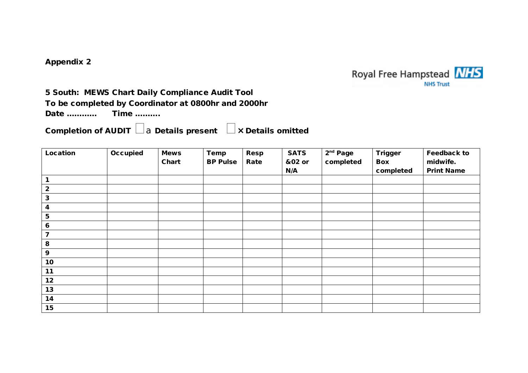**Appendix 2** 



# **5 South: MEWS Chart Daily Compliance Audit Tool**

# **To be completed by Coordinator at 0800hr and 2000hr**

**Date ………… Time ……….** 

**Completion of AUDIT** <sup>a</sup>**Details present <sup>×</sup> Details omitted** 

| Location                | Occupied | <b>Mews</b> | Temp            | Resp | <b>SATS</b> | $2nd$ Page | Trigger   | Feedback to       |
|-------------------------|----------|-------------|-----------------|------|-------------|------------|-----------|-------------------|
|                         |          | Chart       | <b>BP Pulse</b> | Rate | &02 or      | completed  | Box       | midwife.          |
|                         |          |             |                 |      | N/A         |            | completed | <b>Print Name</b> |
| 1                       |          |             |                 |      |             |            |           |                   |
| $\overline{2}$          |          |             |                 |      |             |            |           |                   |
| $\mathbf 3$             |          |             |                 |      |             |            |           |                   |
| 4                       |          |             |                 |      |             |            |           |                   |
| 5                       |          |             |                 |      |             |            |           |                   |
| 6                       |          |             |                 |      |             |            |           |                   |
| $\overline{\mathbf{z}}$ |          |             |                 |      |             |            |           |                   |
| 8                       |          |             |                 |      |             |            |           |                   |
| 9                       |          |             |                 |      |             |            |           |                   |
| 10                      |          |             |                 |      |             |            |           |                   |
| 11                      |          |             |                 |      |             |            |           |                   |
| 12                      |          |             |                 |      |             |            |           |                   |
| 13                      |          |             |                 |      |             |            |           |                   |
| 14                      |          |             |                 |      |             |            |           |                   |
| 15                      |          |             |                 |      |             |            |           |                   |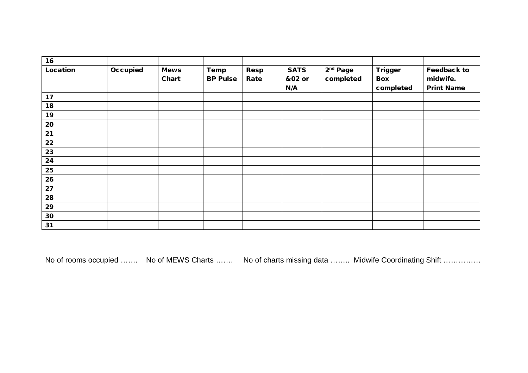| 16       |          |                      |                         |              |                              |                                   |                             |                                              |
|----------|----------|----------------------|-------------------------|--------------|------------------------------|-----------------------------------|-----------------------------|----------------------------------------------|
| Location | Occupied | <b>Mews</b><br>Chart | Temp<br><b>BP Pulse</b> | Resp<br>Rate | <b>SATS</b><br>&02 or<br>N/A | 2 <sup>nd</sup> Page<br>completed | Trigger<br>Box<br>completed | Feedback to<br>midwife.<br><b>Print Name</b> |
| 17       |          |                      |                         |              |                              |                                   |                             |                                              |
| 18       |          |                      |                         |              |                              |                                   |                             |                                              |
| 19       |          |                      |                         |              |                              |                                   |                             |                                              |
| 20       |          |                      |                         |              |                              |                                   |                             |                                              |
| 21       |          |                      |                         |              |                              |                                   |                             |                                              |
| 22       |          |                      |                         |              |                              |                                   |                             |                                              |
| 23       |          |                      |                         |              |                              |                                   |                             |                                              |
| 24       |          |                      |                         |              |                              |                                   |                             |                                              |
| 25       |          |                      |                         |              |                              |                                   |                             |                                              |
| 26       |          |                      |                         |              |                              |                                   |                             |                                              |
| 27       |          |                      |                         |              |                              |                                   |                             |                                              |
| 28       |          |                      |                         |              |                              |                                   |                             |                                              |
| 29       |          |                      |                         |              |                              |                                   |                             |                                              |
| $30$     |          |                      |                         |              |                              |                                   |                             |                                              |
| 31       |          |                      |                         |              |                              |                                   |                             |                                              |

No of rooms occupied ……. No of MEWS Charts ……. No of charts missing data …….. Midwife Coordinating Shift ……………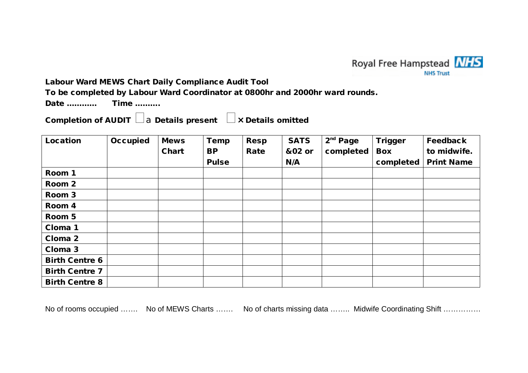

**Labour Ward MEWS Chart Daily Compliance Audit Tool** 

**To be completed by Labour Ward Coordinator at 0800hr and 2000hr ward rounds.** 

**Date ………… Time ……….** 

**Completion of AUDIT** <sup>a</sup>**Details present <sup>×</sup> Details omitted** 

| Location              | Occupied | <b>Mews</b> | Temp         | Resp | <b>SATS</b> | $2nd$ Page | <b>Trigger</b> | Feedback          |
|-----------------------|----------|-------------|--------------|------|-------------|------------|----------------|-------------------|
|                       |          | Chart       | <b>BP</b>    | Rate | &02 or      | completed  | <b>Box</b>     | to midwife.       |
|                       |          |             | <b>Pulse</b> |      | N/A         |            | completed      | <b>Print Name</b> |
| Room 1                |          |             |              |      |             |            |                |                   |
| Room 2                |          |             |              |      |             |            |                |                   |
| Room 3                |          |             |              |      |             |            |                |                   |
| Room 4                |          |             |              |      |             |            |                |                   |
| Room 5                |          |             |              |      |             |            |                |                   |
| Cloma 1               |          |             |              |      |             |            |                |                   |
| Cloma 2               |          |             |              |      |             |            |                |                   |
| Cloma 3               |          |             |              |      |             |            |                |                   |
| <b>Birth Centre 6</b> |          |             |              |      |             |            |                |                   |
| <b>Birth Centre 7</b> |          |             |              |      |             |            |                |                   |
| <b>Birth Centre 8</b> |          |             |              |      |             |            |                |                   |

No of rooms occupied ……. No of MEWS Charts ……. No of charts missing data …….. Midwife Coordinating Shift ……………